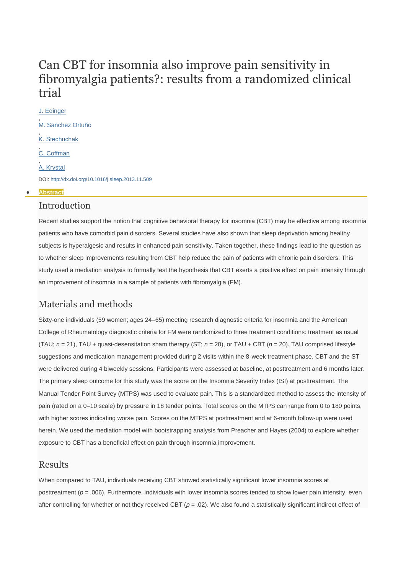# Can CBT for insomnia also improve pain sensitivity in fibromyalgia patients?: results from a randomized clinical trial

[J. Edinger](javascript:void(0);) , [M. Sanchez Ortuño](javascript:void(0);) , [K. Stechuchak](javascript:void(0);) , [C. Coffman](javascript:void(0);) , [A. Krystal](javascript:void(0);) DOI: <http://dx.doi.org/10.1016/j.sleep.2013.11.509>

#### **[Abstract](http://www.sleep-journal.com/article/S1389-9457(13)01724-3/abstract)**

#### Introduction

Recent studies support the notion that cognitive behavioral therapy for insomnia (CBT) may be effective among insomnia patients who have comorbid pain disorders. Several studies have also shown that sleep deprivation among healthy subjects is hyperalgesic and results in enhanced pain sensitivity. Taken together, these findings lead to the question as to whether sleep improvements resulting from CBT help reduce the pain of patients with chronic pain disorders. This study used a mediation analysis to formally test the hypothesis that CBT exerts a positive effect on pain intensity through an improvement of insomnia in a sample of patients with fibromyalgia (FM).

# Materials and methods

Sixty-one individuals (59 women; ages 24–65) meeting research diagnostic criteria for insomnia and the American College of Rheumatology diagnostic criteria for FM were randomized to three treatment conditions: treatment as usual (TAU; *n* = 21), TAU + quasi-desensitation sham therapy (ST; *n* = 20), or TAU + CBT (*n* = 20). TAU comprised lifestyle suggestions and medication management provided during 2 visits within the 8-week treatment phase. CBT and the ST were delivered during 4 biweekly sessions. Participants were assessed at baseline, at posttreatment and 6 months later. The primary sleep outcome for this study was the score on the Insomnia Severity Index (ISI) at posttreatment. The Manual Tender Point Survey (MTPS) was used to evaluate pain. This is a standardized method to assess the intensity of pain (rated on a 0–10 scale) by pressure in 18 tender points. Total scores on the MTPS can range from 0 to 180 points, with higher scores indicating worse pain. Scores on the MTPS at posttreatment and at 6-month follow-up were used herein. We used the mediation model with bootstrapping analysis from Preacher and Hayes (2004) to explore whether exposure to CBT has a beneficial effect on pain through insomnia improvement.

#### Results

When compared to TAU, individuals receiving CBT showed statistically significant lower insomnia scores at posttreatment ( $p = .006$ ). Furthermore, individuals with lower insomnia scores tended to show lower pain intensity, even after controlling for whether or not they received CBT ( $p = .02$ ). We also found a statistically significant indirect effect of